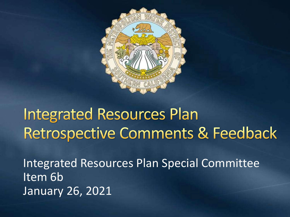

### **Integrated Resources Plan** Retrospective Comments & Feedback

Integrated Resources Plan Special Committee Item 6b January 26, 2021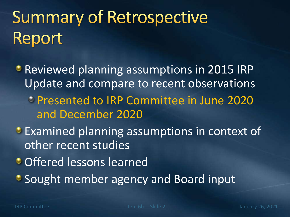# **Summary of Retrospective** Report

**• Reviewed planning assumptions in 2015 IRP** Update and compare to recent observations Presented to IRP Committee in June 2020 and December 2020 **Examined planning assumptions in context of** other recent studies

**Offered lessons learned** 

**• Sought member agency and Board input**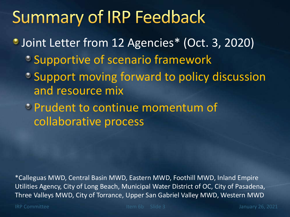### **Summary of IRP Feedback**

- Joint Letter from 12 Agencies\* (Oct. 3, 2020)
	- **Supportive of scenario framework**
	- Support moving forward to policy discussion and resource mix
	- Prudent to continue momentum of collaborative process

\*Calleguas MWD, Central Basin MWD, Eastern MWD, Foothill MWD, Inland Empire Utilities Agency, City of Long Beach, Municipal Water District of OC, City of Pasadena, Three Valleys MWD, City of Torrance, Upper San Gabriel Valley MWD, Western MWD

IRP Committee Internal Committee Item 6b Slide 3 January 26, 2021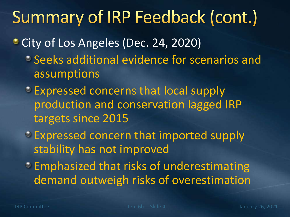### Summary of IRP Feedback (cont.)

- City of Los Angeles (Dec. 24, 2020)
	- Seeks additional evidence for scenarios and assumptions
	- **Expressed concerns that local supply** production and conservation lagged IRP targets since 2015
	- Expressed concern that imported supply stability has not improved
	- **Emphasized that risks of underestimating** demand outweigh risks of overestimation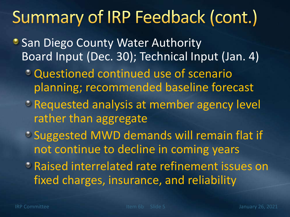## Summary of IRP Feedback (cont.)

- **San Diego County Water Authority** Board Input (Dec. 30); Technical Input (Jan. 4)
	- Questioned continued use of scenario planning; recommended baseline forecast
	- Requested analysis at member agency level rather than aggregate
	- Suggested MWD demands will remain flat if not continue to decline in coming years
	- Raised interrelated rate refinement issues on fixed charges, insurance, and reliability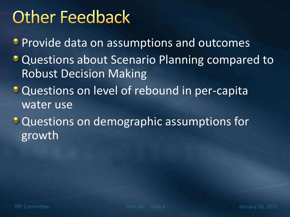### **Other Feedback**

**• Provide data on assumptions and outcomes** 

- **Questions about Scenario Planning compared to** Robust Decision Making
- **Questions on level of rebound in per-capita** water use
- **Questions on demographic assumptions for** growth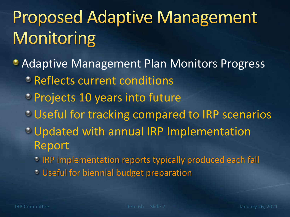# **Proposed Adaptive Management** Monitoring

**• Adaptive Management Plan Monitors Progress PReflects current conditions** 

- **Projects 10 years into future**
- **Useful for tracking compared to IRP scenarios**
- Updated with annual IRP Implementation Report
	- **IRP implementation reports typically produced each fall**
	- Useful for biennial budget preparation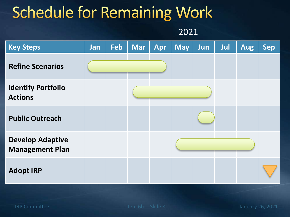#### **Schedule for Remaining Work**

2021

| <b>Key Steps</b>                                  | Jan | Feb | <b>Mar</b> | Apr | <b>May</b> | Jun | <b>Jul</b> | <b>Aug</b> | <b>Sep</b> |
|---------------------------------------------------|-----|-----|------------|-----|------------|-----|------------|------------|------------|
| <b>Refine Scenarios</b>                           |     |     |            |     |            |     |            |            |            |
| <b>Identify Portfolio</b><br><b>Actions</b>       |     |     |            |     |            |     |            |            |            |
| <b>Public Outreach</b>                            |     |     |            |     |            |     |            |            |            |
| <b>Develop Adaptive</b><br><b>Management Plan</b> |     |     |            |     |            |     |            |            |            |
| <b>Adopt IRP</b>                                  |     |     |            |     |            |     |            |            |            |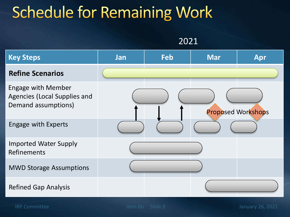### **Schedule for Remaining Work**

2021



IRP Committee Internal Committee Item 6b Slide 9 January 26, 2021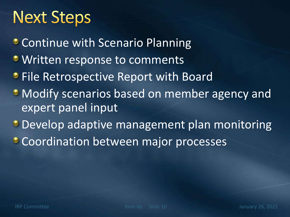### **Next Steps**

- Continue with Scenario Planning
- **Written response to comments**
- **File Retrospective Report with Board**
- **Modify scenarios based on member agency and** expert panel input
- **Develop adaptive management plan monitoring**
- **Coordination between major processes**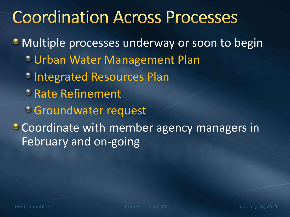### **Coordination Across Processes**

**• Multiple processes underway or soon to begin** Urban Water Management Plan *C* Integrated Resources Plan Rate Refinement Groundwater request Coordinate with member agency managers in February and on-going